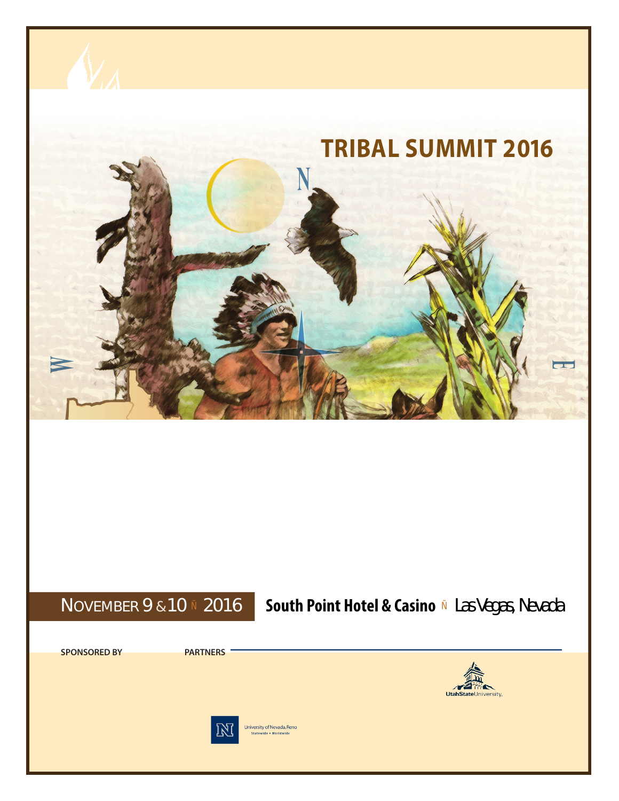

### **TRIBAL SUMMIT 2016** SECOND ANNU

### **N**OVEMBER 9 & 10 Ñ 2016 | South Point Hotel & Casino Ñ Las Vegas, Nevada

**SPONSORED BY PARTNERS**





University of Nevada, Reno Statewide . Worldwide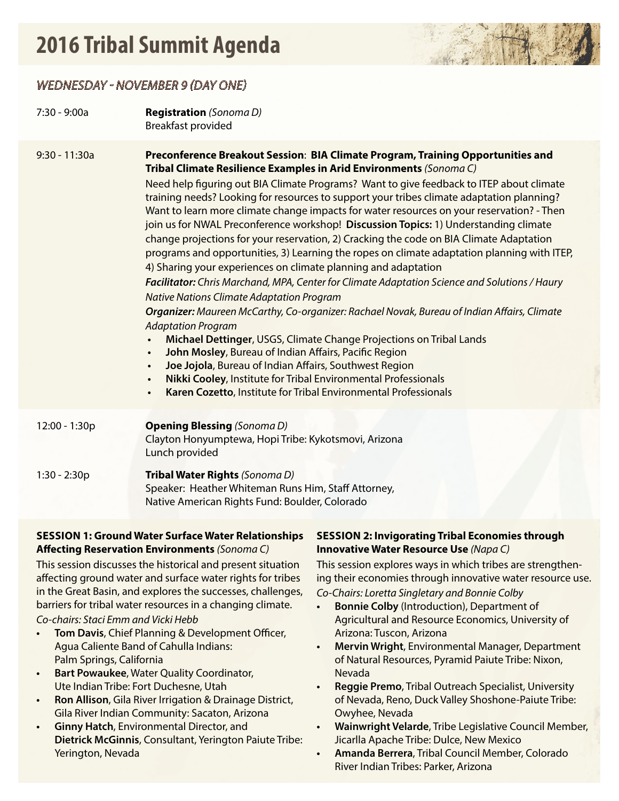## **2016 Tribal Summit Agenda**



### *WEDNESDAY - NOVEMBER 9 (DAY ONE)*

| 7:30 - 9:00a    | <b>Registration</b> (Sonoma D)<br>Breakfast provided                                                                                                                                                                                                                                                                                                                                                                                                                                                                                                                                                                                                                                                                                                                                                                                                                                                                                                                                                                                                                                                                                                                                                                                                                                                                                                                                                                                                                |
|-----------------|---------------------------------------------------------------------------------------------------------------------------------------------------------------------------------------------------------------------------------------------------------------------------------------------------------------------------------------------------------------------------------------------------------------------------------------------------------------------------------------------------------------------------------------------------------------------------------------------------------------------------------------------------------------------------------------------------------------------------------------------------------------------------------------------------------------------------------------------------------------------------------------------------------------------------------------------------------------------------------------------------------------------------------------------------------------------------------------------------------------------------------------------------------------------------------------------------------------------------------------------------------------------------------------------------------------------------------------------------------------------------------------------------------------------------------------------------------------------|
| $9:30 - 11:30a$ | Preconference Breakout Session: BIA Climate Program, Training Opportunities and<br>Tribal Climate Resilience Examples in Arid Environments (Sonoma C)<br>Need help figuring out BIA Climate Programs? Want to give feedback to ITEP about climate<br>training needs? Looking for resources to support your tribes climate adaptation planning?<br>Want to learn more climate change impacts for water resources on your reservation? - Then<br>join us for NWAL Preconference workshop! Discussion Topics: 1) Understanding climate<br>change projections for your reservation, 2) Cracking the code on BIA Climate Adaptation<br>programs and opportunities, 3) Learning the ropes on climate adaptation planning with ITEP,<br>4) Sharing your experiences on climate planning and adaptation<br>Facilitator: Chris Marchand, MPA, Center for Climate Adaptation Science and Solutions / Haury<br><b>Native Nations Climate Adaptation Program</b><br>Organizer: Maureen McCarthy, Co-organizer: Rachael Novak, Bureau of Indian Affairs, Climate<br><b>Adaptation Program</b><br>Michael Dettinger, USGS, Climate Change Projections on Tribal Lands<br>John Mosley, Bureau of Indian Affairs, Pacific Region<br>$\bullet$<br>Joe Jojola, Bureau of Indian Affairs, Southwest Region<br>$\bullet$<br>Nikki Cooley, Institute for Tribal Environmental Professionals<br>$\bullet$<br>Karen Cozetto, Institute for Tribal Environmental Professionals<br>$\bullet$ |
| 12:00 - 1:30p   | <b>Opening Blessing (Sonoma D)</b><br>Clayton Honyumptewa, Hopi Tribe: Kykotsmovi, Arizona<br>Lunch provided                                                                                                                                                                                                                                                                                                                                                                                                                                                                                                                                                                                                                                                                                                                                                                                                                                                                                                                                                                                                                                                                                                                                                                                                                                                                                                                                                        |
| $1:30 - 2:30p$  | Tribal Water Rights (Sonoma D)<br>Speaker: Heather Whiteman Runs Him, Staff Attorney,<br>Native American Rights Fund: Boulder, Colorado                                                                                                                                                                                                                                                                                                                                                                                                                                                                                                                                                                                                                                                                                                                                                                                                                                                                                                                                                                                                                                                                                                                                                                                                                                                                                                                             |

#### **SESSION 1: Ground Water Surface Water Relationships Affecting Reservation Environments** *(Sonoma C)*

This session discusses the historical and present situation affecting ground water and surface water rights for tribes in the Great Basin, and explores the successes, challenges, barriers for tribal water resources in a changing climate.

*Co-chairs: Staci Emm and Vicki Hebb*

- **• Tom Davis**, Chief Planning & Development Officer, Agua Caliente Band of Cahulla Indians: Palm Springs, California
- **• Bart Powaukee**, Water Quality Coordinator, Ute Indian Tribe: Fort Duchesne, Utah
- **• Ron Allison**, Gila River Irrigation & Drainage District, Gila River Indian Community: Sacaton, Arizona
- **• Ginny Hatch**, Environmental Director, and **Dietrick McGinnis**, Consultant, Yerington Paiute Tribe: Yerington, Nevada

#### **SESSION 2: Invigorating Tribal Economies through Innovative Water Resource Use** *(Napa C)*

This session explores ways in which tribes are strengthening their economies through innovative water resource use. *Co-Chairs: Loretta Singletary and Bonnie Colby*

- **• Bonnie Colby** (Introduction), Department of Agricultural and Resource Economics, University of Arizona: Tuscon, Arizona
- **• Mervin Wright**, Environmental Manager, Department of Natural Resources, Pyramid Paiute Tribe: Nixon, Nevada
- **• Reggie Premo**, Tribal Outreach Specialist, University of Nevada, Reno, Duck Valley Shoshone-Paiute Tribe: Owyhee, Nevada
- **• Wainwright Velarde**, Tribe Legislative Council Member, Jicarlla Apache Tribe: Dulce, New Mexico
- **• Amanda Berrera**, Tribal Council Member, Colorado River Indian Tribes: Parker, Arizona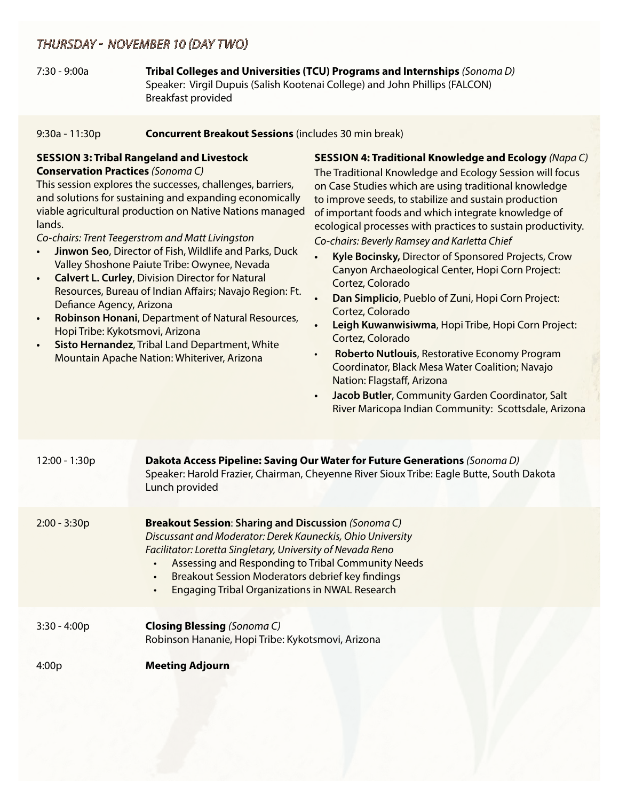### *THURSDAY - NOVEMBER 10 (DAY TWO)*

7:30 - 9:00a **Tribal Colleges and Universities (TCU) Programs and Internships** *(Sonoma D)* Speaker: Virgil Dupuis (Salish Kootenai College) and John Phillips (FALCON) Breakfast provided

#### 9:30a - 11:30p **Concurrent Breakout Sessions** (includes 30 min break)

#### **SESSION 3: Tribal Rangeland and Livestock Conservation Practices** *(Sonoma C)*

This session explores the successes, challenges, barriers, and solutions for sustaining and expanding economically viable agricultural production on Native Nations managed lands.

*Co-chairs: Trent Teegerstrom and Matt Livingston*

- **• Jinwon Seo**, Director of Fish, Wildlife and Parks, Duck Valley Shoshone Paiute Tribe: Owynee, Nevada
- **• Calvert L. Curley**, Division Director for Natural Resources, Bureau of Indian Affairs; Navajo Region: Ft. Defiance Agency, Arizona
- **• Robinson Honani**, Department of Natural Resources, Hopi Tribe: Kykotsmovi, Arizona
- **• Sisto Hernandez**, Tribal Land Department, White Mountain Apache Nation: Whiteriver, Arizona

**SESSION 4: Traditional Knowledge and Ecology** *(Napa C)*

The Traditional Knowledge and Ecology Session will focus on Case Studies which are using traditional knowledge to improve seeds, to stabilize and sustain production of important foods and which integrate knowledge of ecological processes with practices to sustain productivity. *Co-chairs: Beverly Ramsey and Karletta Chief*

- **• Kyle Bocinsky,** Director of Sponsored Projects, Crow Canyon Archaeological Center, Hopi Corn Project: Cortez, Colorado
- **• Dan Simplicio**, Pueblo of Zuni, Hopi Corn Project: Cortez, Colorado
- **• Leigh Kuwanwisiwma**, Hopi Tribe, Hopi Corn Project: Cortez, Colorado
- **Roberto Nutlouis**, Restorative Economy Program Coordinator, Black Mesa Water Coalition; Navajo Nation: Flagstaff, Arizona
- **• Jacob Butler**, Community Garden Coordinator, Salt River Maricopa Indian Community: Scottsdale, Arizona

| 12:00 - 1:30p  | Dakota Access Pipeline: Saving Our Water for Future Generations (Sonoma D)<br>Speaker: Harold Frazier, Chairman, Cheyenne River Sioux Tribe: Eagle Butte, South Dakota<br>Lunch provided                                                                                                                                                                               |
|----------------|------------------------------------------------------------------------------------------------------------------------------------------------------------------------------------------------------------------------------------------------------------------------------------------------------------------------------------------------------------------------|
| $2:00 - 3:30p$ | <b>Breakout Session: Sharing and Discussion (Sonoma C)</b><br>Discussant and Moderator: Derek Kauneckis, Ohio University<br>Facilitator: Loretta Singletary, University of Nevada Reno<br>Assessing and Responding to Tribal Community Needs<br>Breakout Session Moderators debrief key findings<br>$\bullet$<br><b>Engaging Tribal Organizations in NWAL Research</b> |
| $3:30 - 4:00p$ | <b>Closing Blessing</b> (Sonoma C)<br>Robinson Hananie, Hopi Tribe: Kykotsmovi, Arizona                                                                                                                                                                                                                                                                                |
| 4:00p          | <b>Meeting Adjourn</b>                                                                                                                                                                                                                                                                                                                                                 |